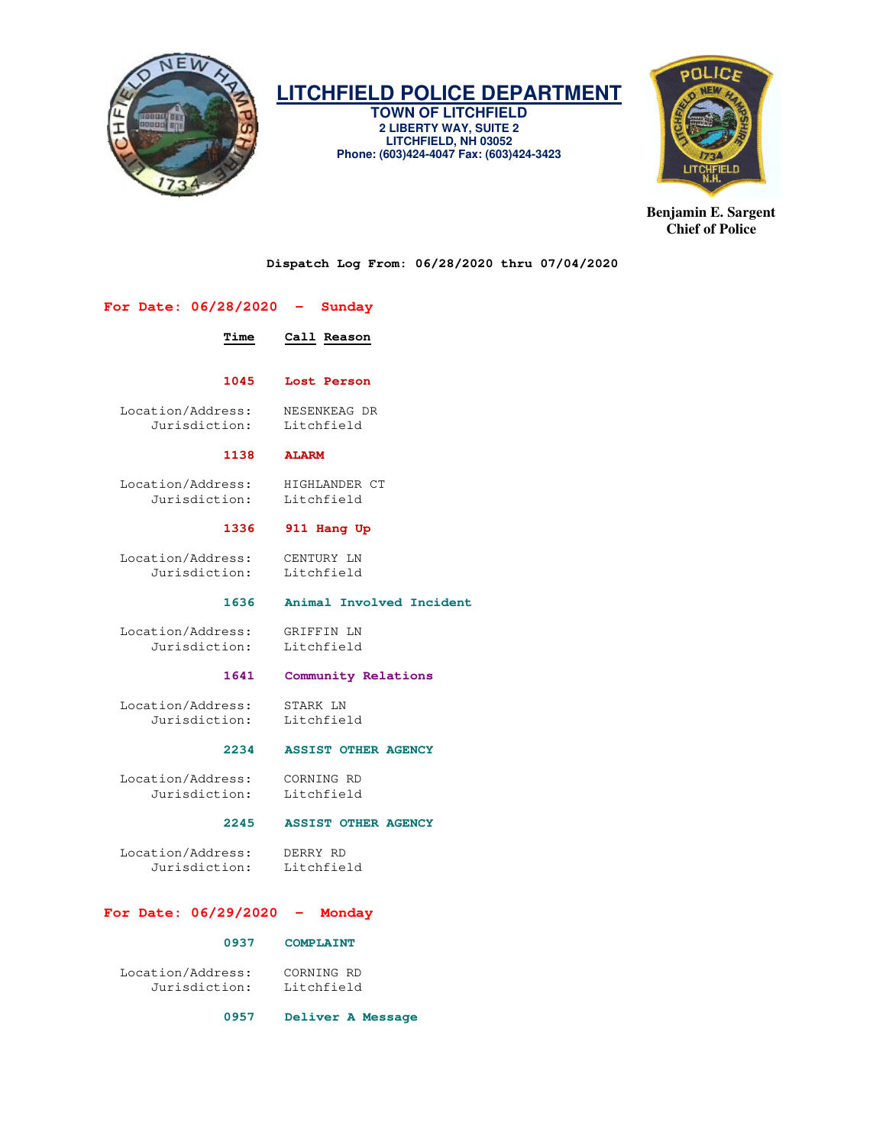

**TOWN OF LITCHFIELD 2 LIBERTY WAY, SUITE 2 LITCHFIELD, NH 03052 Phone: (603)424-4047 Fax: (603)424-3423** 



**Benjamin E. Sargent Chief of Police** 

**Dispatch Log From: 06/28/2020 thru 07/04/2020** 

# **For Date: 06/28/2020 - Sunday**

 **Time Call Reason** 

# **1045 Lost Person**

 Location/Address: NESENKEAG DR Jurisdiction:

#### **1138 ALARM**

Location/Address: HIGHLANDER CT<br>Jurisdiction: Litchfield Jurisdiction:

#### **1336 911 Hang Up**

Location/Address: CENTURY LN<br>Jurisdiction: Litchfield Jurisdiction:

#### **1636 Animal Involved Incident**

 Location/Address: GRIFFIN LN Jurisdiction:

#### **1641 Community Relations**

 Location/Address: STARK LN Jurisdiction: Litchfield

### **2234 ASSIST OTHER AGENCY**

 Location/Address: CORNING RD Jurisdiction: Litchfield

#### **2245 ASSIST OTHER AGENCY**

 Location/Address: DERRY RD Jurisdiction: Litchfield

#### **For Date: 06/29/2020 - Monday**

#### **0937 COMPLAINT**

 Location/Address: CORNING RD Jurisdiction:

#### **0957 Deliver A Message**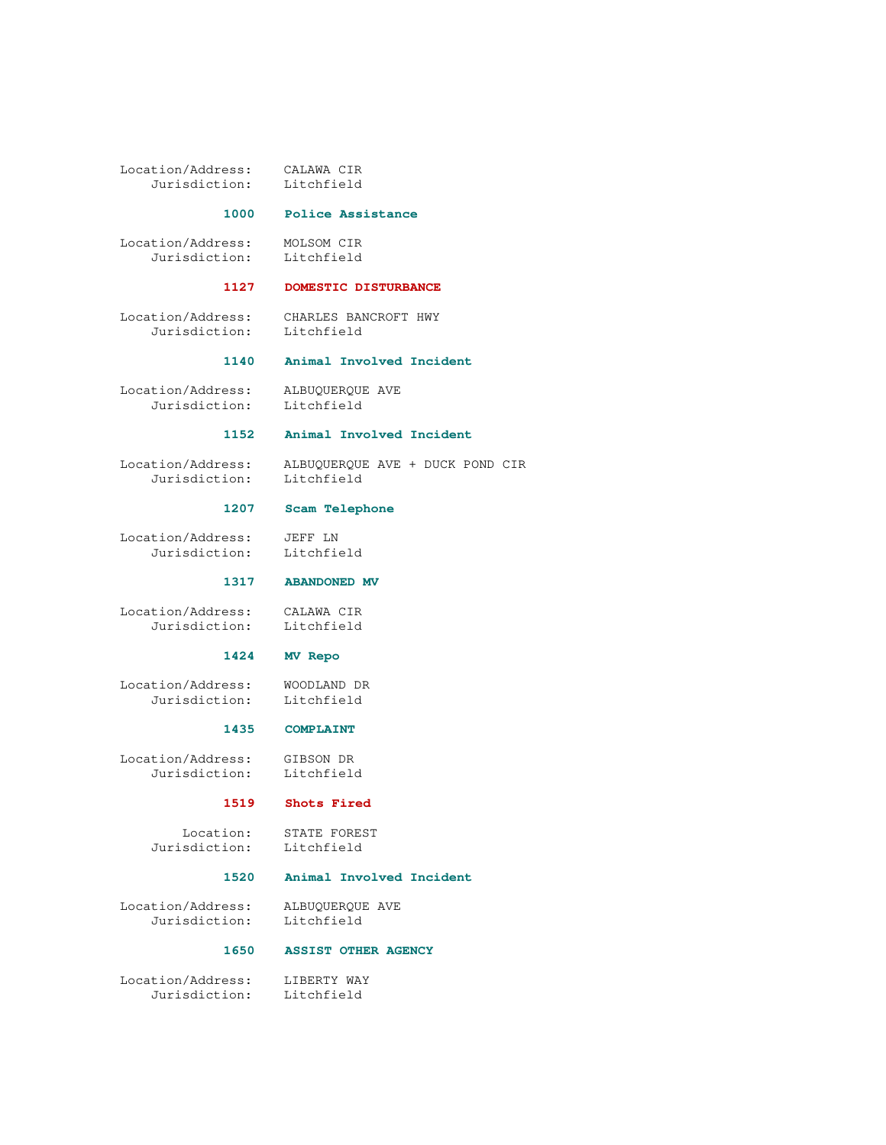Location/Address: CALAWA CIR Jurisdiction:

## **1000 Police Assistance**

 Location/Address: MOLSOM CIR Jurisdiction: Litchfield

# **1127 DOMESTIC DISTURBANCE**

 Location/Address: CHARLES BANCROFT HWY Jurisdiction: Litchfield

# **1140 Animal Involved Incident**

Location/Address: ALBUQUERQUE AVE<br>Jurisdiction: Litchfield Jurisdiction:

#### **1152 Animal Involved Incident**

 Location/Address: ALBUQUERQUE AVE + DUCK POND CIR Jurisdiction:

## **1207 Scam Telephone**

 Location/Address: JEFF LN Jurisdiction: Litchfield

#### **1317 ABANDONED MV**

 Location/Address: CALAWA CIR Jurisdiction:

#### **1424 MV Repo**

 Location/Address: WOODLAND DR Jurisdiction:

#### **1435 COMPLAINT**

 Location/Address: GIBSON DR Jurisdiction:

# **1519 Shots Fired**

 Location: STATE FOREST Jurisdiction: Litchfield

#### **1520 Animal Involved Incident**

Location/Address: ALBUQUERQUE AVE<br>Jurisdiction: Litchfield Jurisdiction:

#### **1650 ASSIST OTHER AGENCY**

 Location/Address: LIBERTY WAY Jurisdiction: Litchfield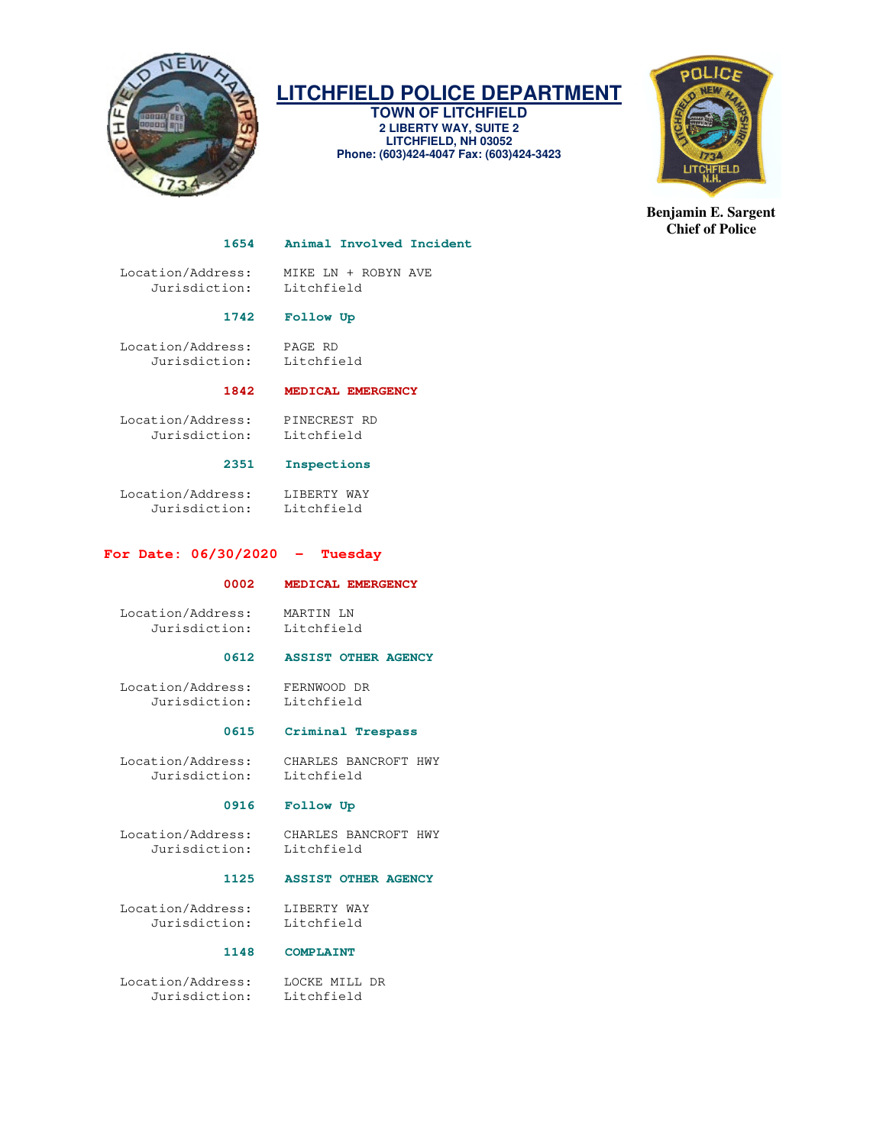

**TOWN OF LITCHFIELD 2 LIBERTY WAY, SUITE 2 LITCHFIELD, NH 03052 Phone: (603)424-4047 Fax: (603)424-3423** 



**Benjamin E. Sargent Chief of Police** 

#### **1654 Animal Involved Incident**

 Location/Address: MIKE LN + ROBYN AVE Jurisdiction: Litchfield

# **1742 Follow Up**

 Location/Address: PAGE RD Jurisdiction: Litchfield

# **1842 MEDICAL EMERGENCY**

 Location/Address: PINECREST RD Jurisdiction: Litchfield

## **2351 Inspections**

 Location/Address: LIBERTY WAY Jurisdiction: Litchfield

## **For Date: 06/30/2020 - Tuesday**

#### **0002 MEDICAL EMERGENCY**

 Location/Address: MARTIN LN Jurisdiction:

#### **0612 ASSIST OTHER AGENCY**

 Location/Address: FERNWOOD DR Jurisdiction: Litchfield

# **0615 Criminal Trespass**

 Location/Address: CHARLES BANCROFT HWY Jurisdiction:

#### **0916 Follow Up**

Location/Address: CHARLES BANCROFT HWY<br>Jurisdiction: Litchfield Jurisdiction:

#### **1125 ASSIST OTHER AGENCY**

 Location/Address: LIBERTY WAY Jurisdiction: Litchfield

# **1148 COMPLAINT**

 Location/Address: LOCKE MILL DR Jurisdiction: Litchfield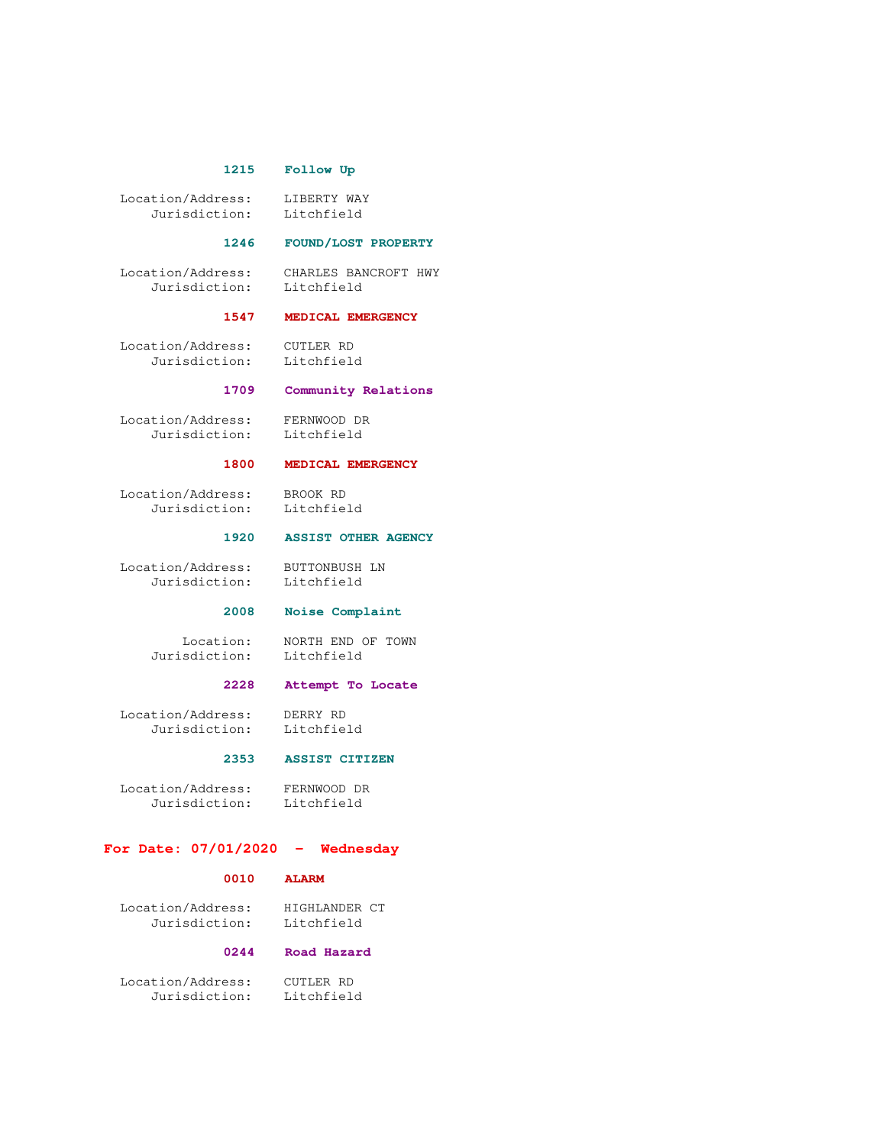#### **1215 Follow Up**

 Location/Address: LIBERTY WAY Jurisdiction: Litchfield

### **1246 FOUND/LOST PROPERTY**

 Location/Address: CHARLES BANCROFT HWY Jurisdiction:

#### **1547 MEDICAL EMERGENCY**

 Location/Address: CUTLER RD Jurisdiction: Litchfield

# **1709 Community Relations**

 Location/Address: FERNWOOD DR Jurisdiction: Litchfield

#### **1800 MEDICAL EMERGENCY**

 Location/Address: BROOK RD Jurisdiction: Litchfield

#### **1920 ASSIST OTHER AGENCY**

 Location/Address: BUTTONBUSH LN Jurisdiction: Litchfield

## **2008 Noise Complaint**

Location: NORTH END OF TOWN<br>sdiction: Litchfield Jurisdiction:

#### **2228 Attempt To Locate**

 Location/Address: DERRY RD Jurisdiction: Litchfield

# **2353 ASSIST CITIZEN**

 Location/Address: FERNWOOD DR Jurisdiction:

#### **For Date: 07/01/2020 - Wednesday**

#### **0010 ALARM**

 Location/Address: HIGHLANDER CT Jurisdiction: Litchfield

#### **0244 Road Hazard**

 Location/Address: CUTLER RD Jurisdiction: Litchfield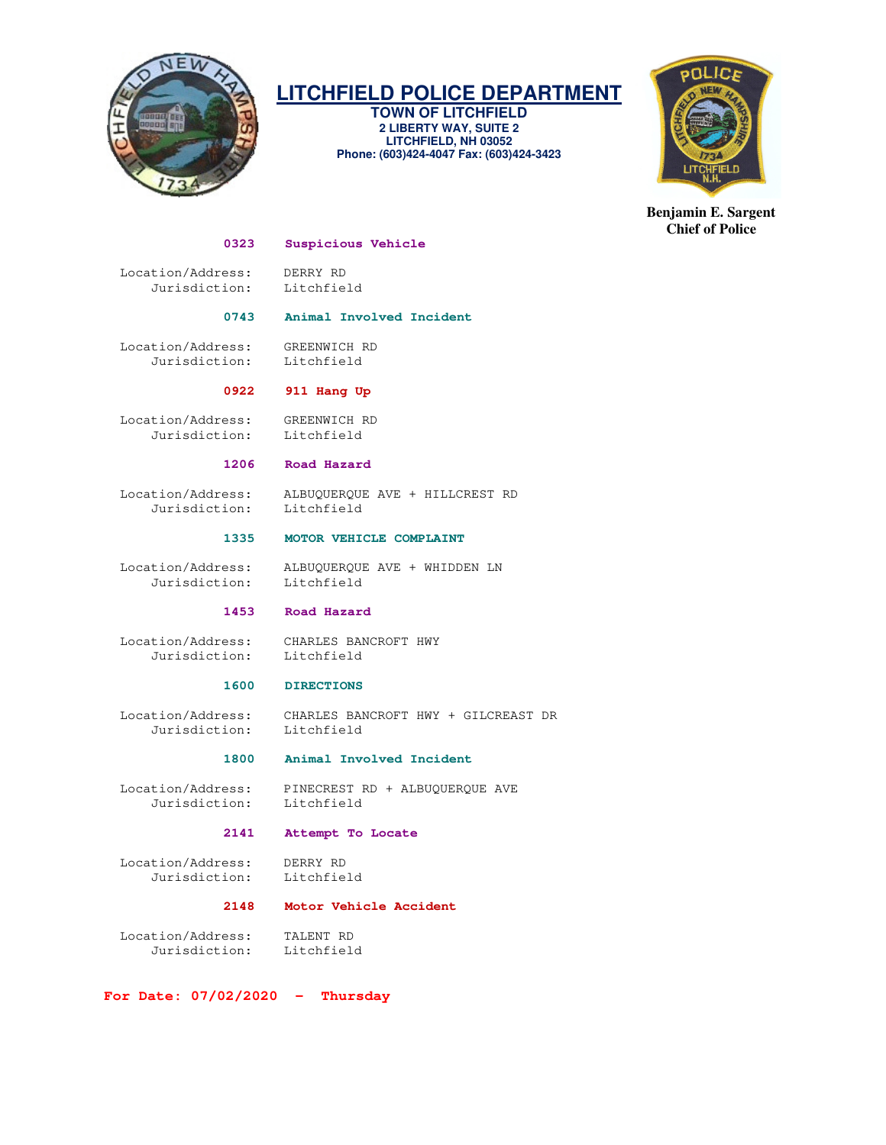

**TOWN OF LITCHFIELD 2 LIBERTY WAY, SUITE 2 LITCHFIELD, NH 03052 Phone: (603)424-4047 Fax: (603)424-3423** 



**Benjamin E. Sargent Chief of Police** 

#### **0323 Suspicious Vehicle**

 Location/Address: DERRY RD Jurisdiction: Litchfield

### **0743 Animal Involved Incident**

 Location/Address: GREENWICH RD Jurisdiction: Litchfield

## **0922 911 Hang Up**

 Location/Address: GREENWICH RD Jurisdiction: Litchfield

#### **1206 Road Hazard**

Jurisdiction: Litchfield

Location/Address: ALBUQUERQUE AVE + HILLCREST RD

#### **1335 MOTOR VEHICLE COMPLAINT**

 Location/Address: ALBUQUERQUE AVE + WHIDDEN LN Jurisdiction: Litchfield

## **1453 Road Hazard**

 Location/Address: CHARLES BANCROFT HWY Jurisdiction: Litchfield

# **1600 DIRECTIONS**

 Location/Address: CHARLES BANCROFT HWY + GILCREAST DR Jurisdiction: Litchfield

#### **1800 Animal Involved Incident**

 Location/Address: PINECREST RD + ALBUQUERQUE AVE Jurisdiction: Litchfield

# **2141 Attempt To Locate**

 Location/Address: DERRY RD Jurisdiction: Litchfield

# **2148 Motor Vehicle Accident**

 Location/Address: TALENT RD Jurisdiction: Litchfield

**For Date: 07/02/2020 - Thursday**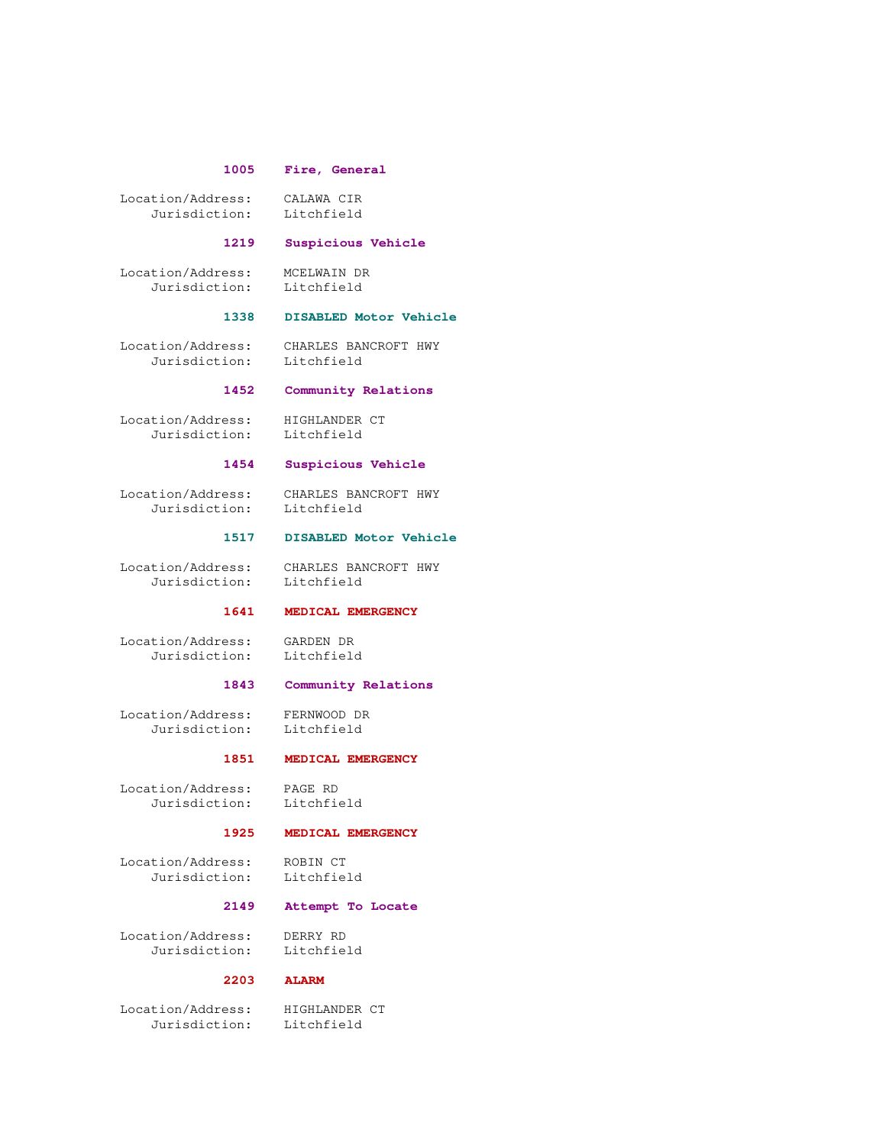#### **1005 Fire, General**

 Location/Address: CALAWA CIR Jurisdiction: Litchfield

#### **1219 Suspicious Vehicle**

 Location/Address: MCELWAIN DR Jurisdiction: Litchfield

# **1338 DISABLED Motor Vehicle**

Jurisdiction: Litchfield

Location/Address: CHARLES BANCROFT HWY

### **1452 Community Relations**

 Location/Address: HIGHLANDER CT Jurisdiction: Litchfield

#### **1454 Suspicious Vehicle**

Jurisdiction:

Location/Address: CHARLES BANCROFT HWY

#### **1517 DISABLED Motor Vehicle**

 Location/Address: CHARLES BANCROFT HWY Jurisdiction: Litchfield

# **1641 MEDICAL EMERGENCY**

 Location/Address: GARDEN DR Jurisdiction:

# **1843 Community Relations**

 Location/Address: FERNWOOD DR Jurisdiction: Litchfield

# **1851 MEDICAL EMERGENCY**

 Location/Address: PAGE RD Jurisdiction:

#### **1925 MEDICAL EMERGENCY**

Location/Address: ROBIN CT<br>Jurisdiction: Litchfield Jurisdiction:

# **2149 Attempt To Locate**

 Location/Address: DERRY RD Jurisdiction: Litchfield

# **2203 ALARM**

Location/Address: HIGHLANDER CT<br>Jurisdiction: Litchfield Jurisdiction: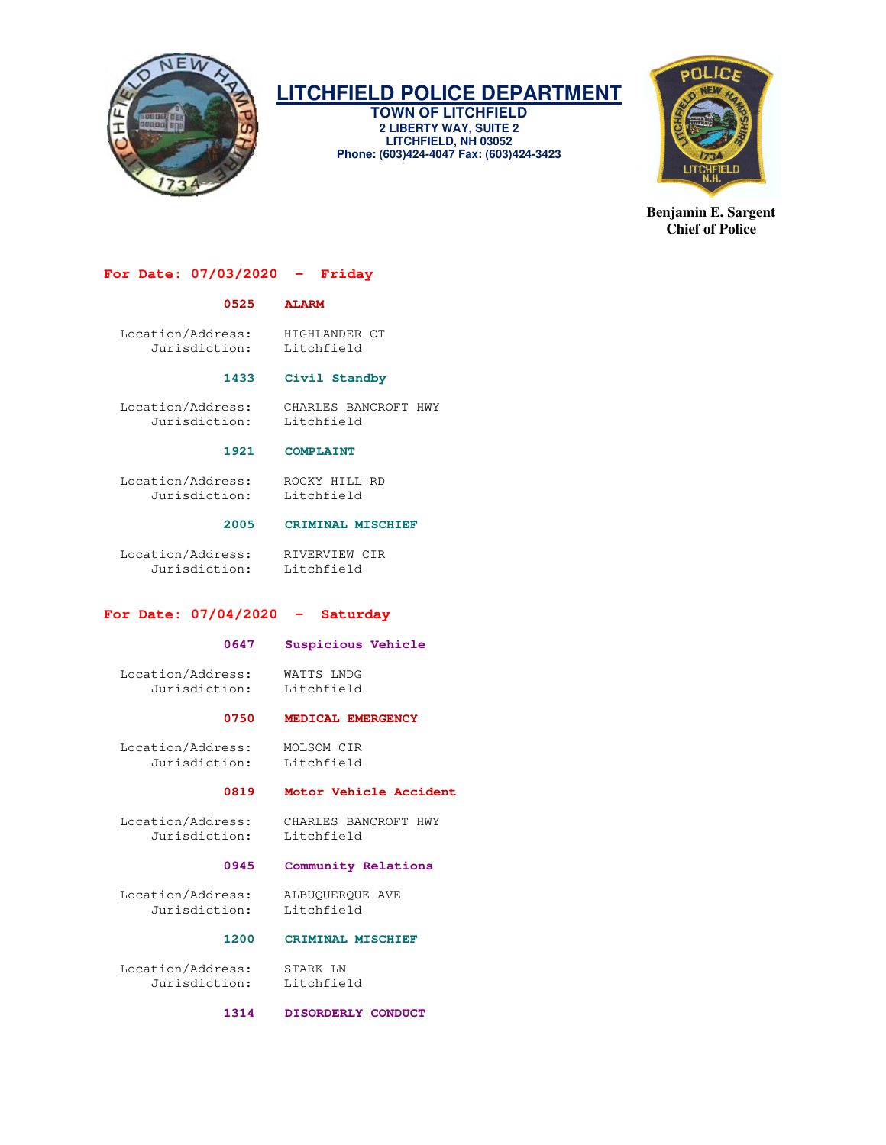

**TOWN OF LITCHFIELD 2 LIBERTY WAY, SUITE 2 LITCHFIELD, NH 03052 Phone: (603)424-4047 Fax: (603)424-3423** 



**Benjamin E. Sargent Chief of Police** 

# **For Date: 07/03/2020 - Friday**

#### **0525 ALARM**

 Location/Address: HIGHLANDER CT Jurisdiction: Litchfield

#### **1433 Civil Standby**

 Location/Address: CHARLES BANCROFT HWY Jurisdiction: Litchfield

#### **1921 COMPLAINT**

 Location/Address: ROCKY HILL RD Jurisdiction: Litchfield

### **2005 CRIMINAL MISCHIEF**

 Location/Address: RIVERVIEW CIR Jurisdiction: Litchfield

#### **For Date: 07/04/2020 - Saturday**

#### **0647 Suspicious Vehicle**

 Location/Address: WATTS LNDG Jurisdiction: Litchfield

#### **0750 MEDICAL EMERGENCY**

 Location/Address: MOLSOM CIR Jurisdiction: Litchfield

#### **0819 Motor Vehicle Accident**

 Location/Address: CHARLES BANCROFT HWY Jurisdiction: Litchfield

#### **0945 Community Relations**

Location/Address: ALBUQUERQUE AVE<br>Jurisdiction: Litchfield Jurisdiction:

#### **1200 CRIMINAL MISCHIEF**

 Location/Address: STARK LN Jurisdiction: Litchfield

 **1314 DISORDERLY CONDUCT**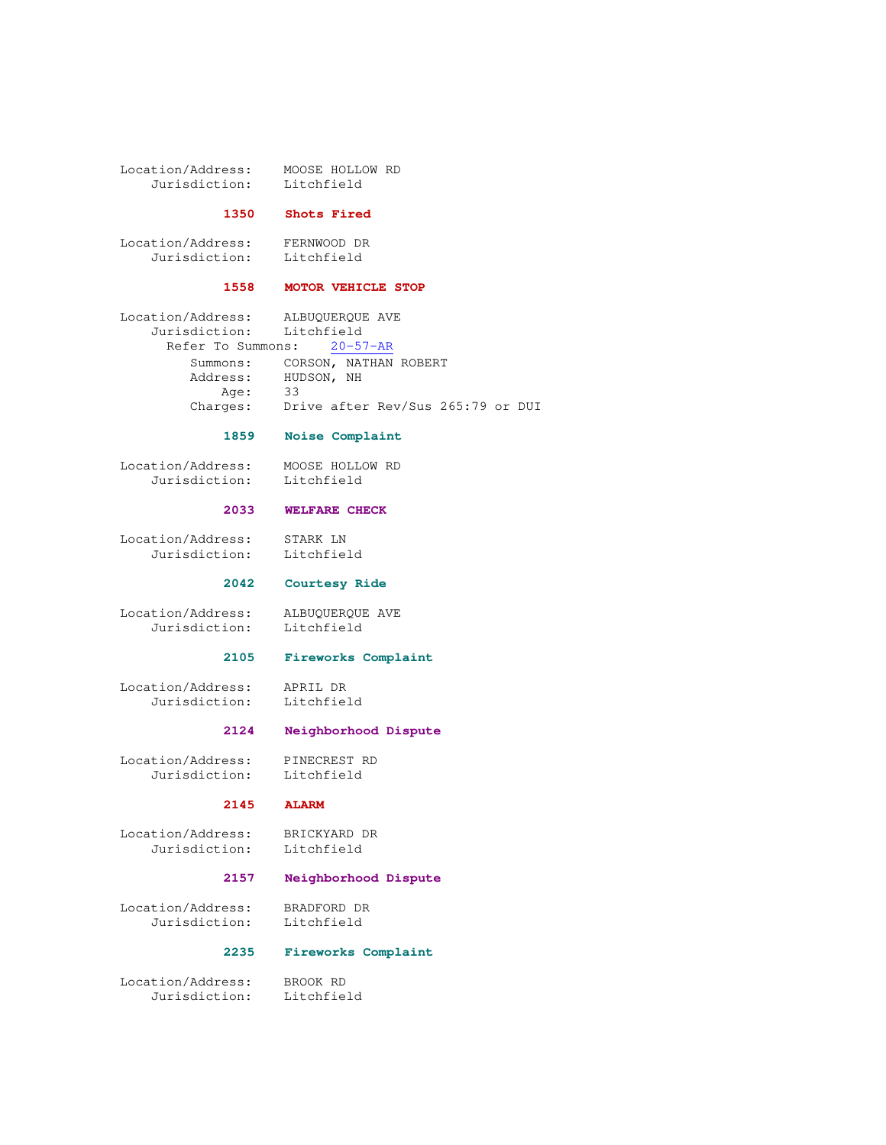Location/Address: MOOSE HOLLOW RD<br>Jurisdiction: Litchfield Jurisdiction:

### **1350 Shots Fired**

 Location/Address: FERNWOOD DR Jurisdiction: Litchfield

# **1558 MOTOR VEHICLE STOP**

 Location/Address: ALBUQUERQUE AVE Jurisdiction: Litchfield Refer To Summons: 20-57-AR Summons: CORSON, NATHAN ROBERT Address: HUDSON, NH Age: 33 Charges: Drive after Rev/Sus 265:79 or DUI

## **1859 Noise Complaint**

 Location/Address: MOOSE HOLLOW RD Jurisdiction: Litchfield

#### **2033 WELFARE CHECK**

 Location/Address: STARK LN Jurisdiction: Litchfield

#### **2042 Courtesy Ride**

 Location/Address: ALBUQUERQUE AVE Jurisdiction: Litchfield

#### **2105 Fireworks Complaint**

 Location/Address: APRIL DR Jurisdiction: Litchfield

# **2124 Neighborhood Dispute**

 Location/Address: PINECREST RD Jurisdiction: Litchfield

## **2145 ALARM**

 Location/Address: BRICKYARD DR Jurisdiction: Litchfield

# **2157 Neighborhood Dispute**

 Location/Address: BRADFORD DR Jurisdiction: Litchfield

## **2235 Fireworks Complaint**

 Location/Address: BROOK RD Jurisdiction: Litchfield